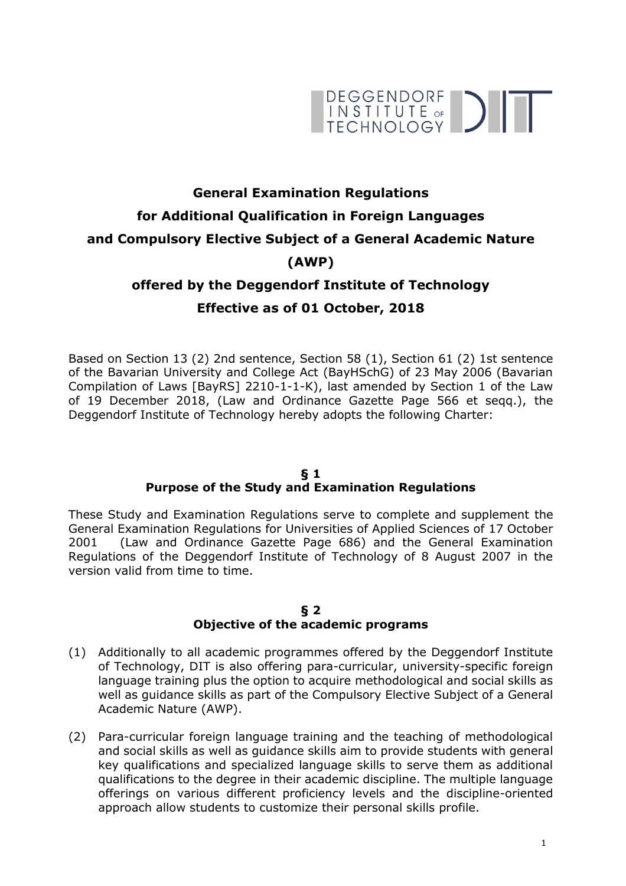

# **General Examination Regulations for Additional Qualification in Foreign Languages and Compulsory Elective Subject of a General Academic Nature (AWP) offered by the Deggendorf Institute of Technology Effective as of 01 October, 2018**

Based on Section 13 (2) 2nd sentence, Section 58 (1), Section 61 (2) 1st sentence of the Bavarian University and College Act (BayHSchG) of 23 May 2006 (Bavarian Compilation of Laws [BayRS] 2210-1-1-K), last amended by Section 1 of the Law of 19 December 2018, (Law and Ordinance Gazette Page 566 et seqq.), the Deggendorf Institute of Technology hereby adopts the following Charter:

#### **§ 1 Purpose of the Study and Examination Regulations**

These Study and Examination Regulations serve to complete and supplement the General Examination Regulations for Universities of Applied Sciences of 17 October 2001 (Law and Ordinance Gazette Page 686) and the General Examination Regulations of the Deggendorf Institute of Technology of 8 August 2007 in the version valid from time to time.

#### **§ 2 Objective of the academic programs**

- (1) Additionally to all academic programmes offered by the Deggendorf Institute of Technology, DIT is also offering para-curricular, university-specific foreign language training plus the option to acquire methodological and social skills as well as guidance skills as part of the Compulsory Elective Subject of a General Academic Nature (AWP).
- (2) Para-curricular foreign language training and the teaching of methodological and social skills as well as guidance skills aim to provide students with general key qualifications and specialized language skills to serve them as additional qualifications to the degree in their academic discipline. The multiple language offerings on various different proficiency levels and the discipline-oriented approach allow students to customize their personal skills profile.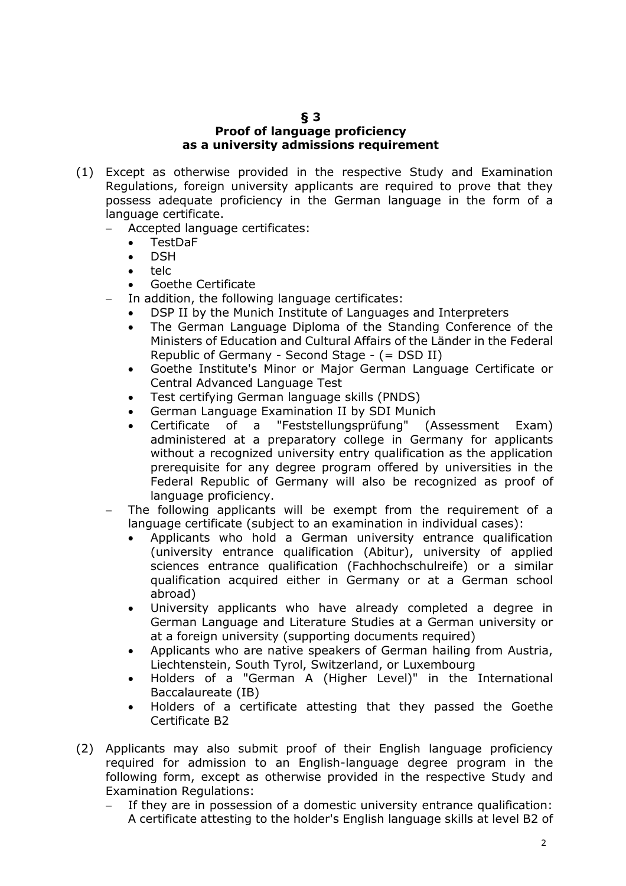#### **§ 3 Proof of language proficiency as a university admissions requirement**

- (1) Except as otherwise provided in the respective Study and Examination Regulations, foreign university applicants are required to prove that they possess adequate proficiency in the German language in the form of a language certificate.
	- Accepted language certificates:
		- TestDaF
		- **DSH**
		- telc
		- Goethe Certificate
	- In addition, the following language certificates:
		- DSP II by the Munich Institute of Languages and Interpreters
		- The German Language Diploma of the Standing Conference of the Ministers of Education and Cultural Affairs of the Länder in the Federal Republic of Germany - Second Stage - (= DSD II)
		- Goethe Institute's Minor or Major German Language Certificate or Central Advanced Language Test
		- Test certifying German language skills (PNDS)
		- German Language Examination II by SDI Munich
		- Certificate of a "Feststellungsprüfung" (Assessment Exam) administered at a preparatory college in Germany for applicants without a recognized university entry qualification as the application prerequisite for any degree program offered by universities in the Federal Republic of Germany will also be recognized as proof of language proficiency.
	- The following applicants will be exempt from the requirement of a language certificate (subject to an examination in individual cases):
		- Applicants who hold a German university entrance qualification (university entrance qualification (Abitur), university of applied sciences entrance qualification (Fachhochschulreife) or a similar qualification acquired either in Germany or at a German school abroad)
		- University applicants who have already completed a degree in German Language and Literature Studies at a German university or at a foreign university (supporting documents required)
		- Applicants who are native speakers of German hailing from Austria, Liechtenstein, South Tyrol, Switzerland, or Luxembourg
		- Holders of a "German A (Higher Level)" in the International Baccalaureate (IB)
		- Holders of a certificate attesting that they passed the Goethe Certificate B2
- (2) Applicants may also submit proof of their English language proficiency required for admission to an English-language degree program in the following form, except as otherwise provided in the respective Study and Examination Regulations:
	- If they are in possession of a domestic university entrance qualification: A certificate attesting to the holder's English language skills at level B2 of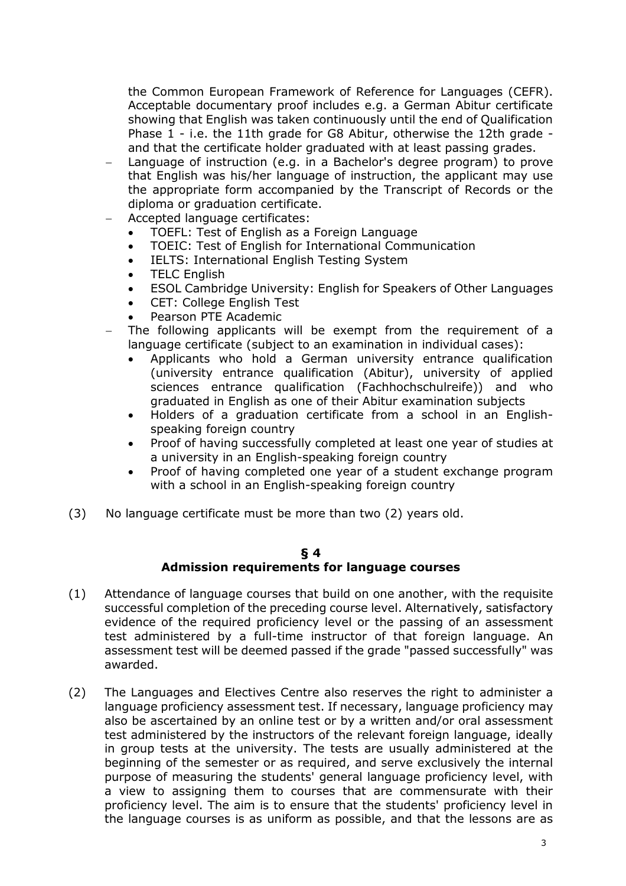the Common European Framework of Reference for Languages (CEFR). Acceptable documentary proof includes e.g. a German Abitur certificate showing that English was taken continuously until the end of Qualification Phase 1 - i.e. the 11th grade for G8 Abitur, otherwise the 12th grade and that the certificate holder graduated with at least passing grades.

- Language of instruction (e.g. in a Bachelor's degree program) to prove that English was his/her language of instruction, the applicant may use the appropriate form accompanied by the Transcript of Records or the diploma or graduation certificate.
- Accepted language certificates:
	- TOEFL: Test of English as a Foreign Language
	- TOEIC: Test of English for International Communication
	- IELTS: International English Testing System
	- TELC English
	- ESOL Cambridge University: English for Speakers of Other Languages
	- CET: College English Test
	- Pearson PTE Academic
- The following applicants will be exempt from the requirement of a language certificate (subject to an examination in individual cases):
	- Applicants who hold a German university entrance qualification (university entrance qualification (Abitur), university of applied sciences entrance qualification (Fachhochschulreife)) and who graduated in English as one of their Abitur examination subjects
	- Holders of a graduation certificate from a school in an Englishspeaking foreign country
	- Proof of having successfully completed at least one year of studies at a university in an English-speaking foreign country
	- Proof of having completed one year of a student exchange program with a school in an English-speaking foreign country
- (3) No language certificate must be more than two (2) years old.

#### **§ 4 Admission requirements for language courses**

- (1) Attendance of language courses that build on one another, with the requisite successful completion of the preceding course level. Alternatively, satisfactory evidence of the required proficiency level or the passing of an assessment test administered by a full-time instructor of that foreign language. An assessment test will be deemed passed if the grade "passed successfully" was awarded.
- (2) The Languages and Electives Centre also reserves the right to administer a language proficiency assessment test. If necessary, language proficiency may also be ascertained by an online test or by a written and/or oral assessment test administered by the instructors of the relevant foreign language, ideally in group tests at the university. The tests are usually administered at the beginning of the semester or as required, and serve exclusively the internal purpose of measuring the students' general language proficiency level, with a view to assigning them to courses that are commensurate with their proficiency level. The aim is to ensure that the students' proficiency level in the language courses is as uniform as possible, and that the lessons are as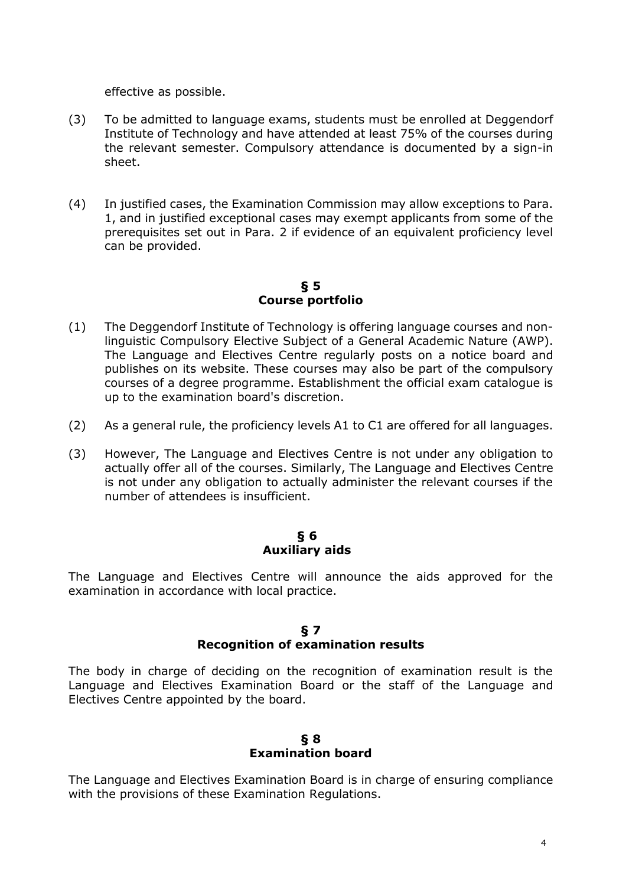effective as possible.

- (3) To be admitted to language exams, students must be enrolled at Deggendorf Institute of Technology and have attended at least 75% of the courses during the relevant semester. Compulsory attendance is documented by a sign-in sheet.
- (4) In justified cases, the Examination Commission may allow exceptions to Para. 1, and in justified exceptional cases may exempt applicants from some of the prerequisites set out in Para. 2 if evidence of an equivalent proficiency level can be provided.

## **§ 5 Course portfolio**

- (1) The Deggendorf Institute of Technology is offering language courses and nonlinguistic Compulsory Elective Subject of a General Academic Nature (AWP). The Language and Electives Centre regularly posts on a notice board and publishes on its website. These courses may also be part of the compulsory courses of a degree programme. Establishment the official exam catalogue is up to the examination board's discretion.
- (2) As a general rule, the proficiency levels A1 to C1 are offered for all languages.
- (3) However, The Language and Electives Centre is not under any obligation to actually offer all of the courses. Similarly, The Language and Electives Centre is not under any obligation to actually administer the relevant courses if the number of attendees is insufficient.

#### **§ 6 Auxiliary aids**

The Language and Electives Centre will announce the aids approved for the examination in accordance with local practice.

#### **§ 7 Recognition of examination results**

The body in charge of deciding on the recognition of examination result is the Language and Electives Examination Board or the staff of the Language and Electives Centre appointed by the board.

#### **§ 8 Examination board**

The Language and Electives Examination Board is in charge of ensuring compliance with the provisions of these Examination Regulations.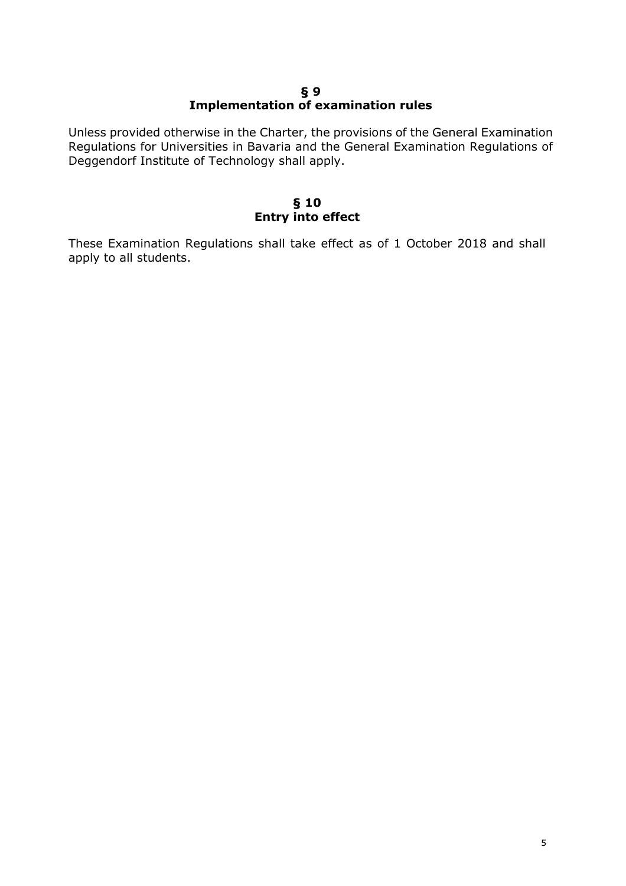## **§ 9 Implementation of examination rules**

Unless provided otherwise in the Charter, the provisions of the General Examination Regulations for Universities in Bavaria and the General Examination Regulations of Deggendorf Institute of Technology shall apply.

### **§ 10 Entry into effect**

These Examination Regulations shall take effect as of 1 October 2018 and shall apply to all students.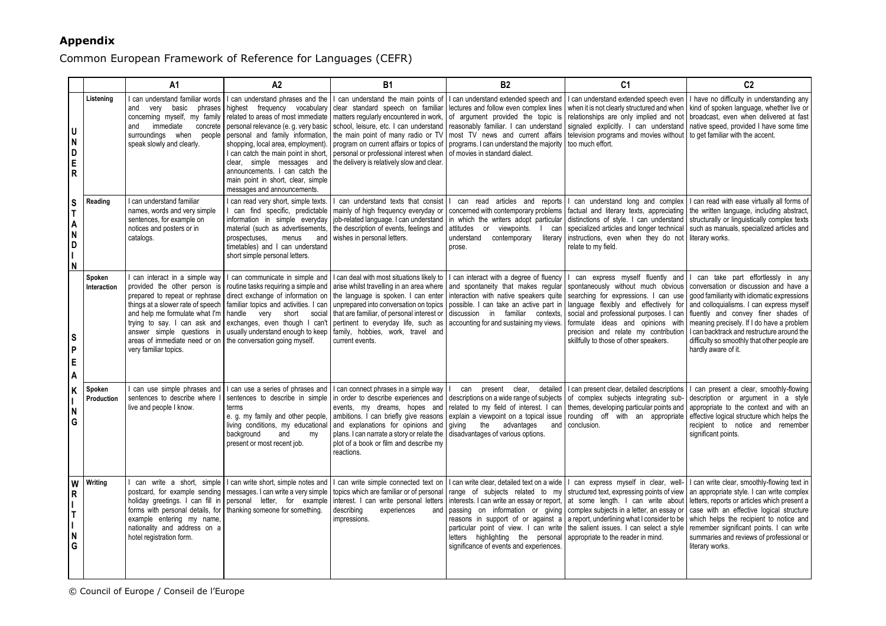## **Appendix**

## Common European Framework of Reference for Languages (CEFR)

|                                                      |                        |                       | A <sub>1</sub>                                                                                                                                                                       | А2                                                                                                                                                                                                                                                                                                                                                                                                                                                   | <b>B1</b>                                                                                                                                                                                                                                                                                                                             | <b>B2</b>                                                                                                                                                                                                                                                                     | C <sub>1</sub>                                                                                                                                                                                                                                                                                                                                                                                                                                                         | C <sub>2</sub>                                                                                                                                                                                                                                                                                                                                                                   |
|------------------------------------------------------|------------------------|-----------------------|--------------------------------------------------------------------------------------------------------------------------------------------------------------------------------------|------------------------------------------------------------------------------------------------------------------------------------------------------------------------------------------------------------------------------------------------------------------------------------------------------------------------------------------------------------------------------------------------------------------------------------------------------|---------------------------------------------------------------------------------------------------------------------------------------------------------------------------------------------------------------------------------------------------------------------------------------------------------------------------------------|-------------------------------------------------------------------------------------------------------------------------------------------------------------------------------------------------------------------------------------------------------------------------------|------------------------------------------------------------------------------------------------------------------------------------------------------------------------------------------------------------------------------------------------------------------------------------------------------------------------------------------------------------------------------------------------------------------------------------------------------------------------|----------------------------------------------------------------------------------------------------------------------------------------------------------------------------------------------------------------------------------------------------------------------------------------------------------------------------------------------------------------------------------|
| U<br>N<br>D<br>E<br>R<br>S<br>ΙT<br>A<br>N<br>D<br>N |                        | Listening             | can understand familiar words<br>and<br>very<br>basic<br>concerning myself, my family<br>immediate<br>concrete<br>and<br>surroundings<br>when<br>people<br>speak slowly and clearly. | can understand phrases and the<br>phrases highest frequency vocabulary<br>related to areas of most immediate<br>personal relevance (e.g. very basic<br>personal and family information.<br>shopping, local area, employment).<br>I can catch the main point in short,<br>clear, simple messages and<br>announcements. I can catch the<br>main point in short, clear, simple<br>messages and announcements.                                           | I can understand the main points of<br>clear standard speech on familiar<br>matters regularly encountered in work,<br>school, leisure, etc. I can understand<br>the main point of many radio or TV<br>program on current affairs or topics of<br>personal or professional interest when<br>the delivery is relatively slow and clear. | I can understand extended speech and<br>lectures and follow even complex lines<br>of argument provided the topic is<br>reasonably familiar. I can understand<br>most TV news and current affairs<br>programs. I can understand the majority<br>of movies in standard dialect. | I can understand extended speech even<br>when it is not clearly structured and when<br>relationships are only implied and not<br>signaled explicitly. I can understand<br>television programs and movies without<br>too much effort.                                                                                                                                                                                                                                   | I have no difficulty in understanding any<br>kind of spoken language, whether live or<br>broadcast, even when delivered at fast<br>native speed, provided I have some time<br>to get familiar with the accent.                                                                                                                                                                   |
|                                                      |                        | Reading               | I can understand familiar<br>names, words and very simple<br>sentences, for example on<br>notices and posters or in<br>catalogs.                                                     | can read very short, simple texts.<br>can find specific, predictable<br>information in simple everyday<br>material (such as advertisements,<br>prospectuses.<br>menus<br>and<br>timetables) and I can understand<br>short simple personal letters.                                                                                                                                                                                                   | can understand texts that consist<br>mainly of high frequency everyday or<br>job-related language. I can understand<br>the description of events, feelings and<br>wishes in personal letters.                                                                                                                                         | can read articles and reports<br>concerned with contemporary problems<br>in which the writers adopt particular<br>attitudes or viewpoints. I<br>can<br>understand contemporary<br>literary<br>prose.                                                                          | I can understand long and complex<br>factual and literary texts, appreciating<br>distinctions of style. I can understand<br>specialized articles and longer technical<br>instructions, even when they do not<br>relate to my field.                                                                                                                                                                                                                                    | I can read with ease virtually all forms of<br>the written language, including abstract,<br>structurally or linguistically complex texts<br>such as manuals, specialized articles and<br>literary works.                                                                                                                                                                         |
| S<br>P<br>A<br>N                                     | E                      | Spoken<br>Interaction | can interact in a simple way<br>answer simple questions in<br>areas of immediate need or on<br>very familiar topics.                                                                 | can communicate in simple and<br>provided the other person is routine tasks requiring a simple and<br>prepared to repeat or rephrase direct exchange of information on<br>things at a slower rate of speech   familiar topics and activities. I can<br>and help me formulate what I'm handle very short social<br>trying to say. I can ask and exchanges, even though I can't<br>usually understand enough to keep<br>the conversation going myself. | I can deal with most situations likely to<br>arise whilst travelling in an area where<br>the language is spoken. I can enter<br>unprepared into conversation on topics<br>that are familiar, of personal interest or<br>pertinent to everyday life, such as<br>family, hobbies, work, travel and<br>current events.                   | I can interact with a degree of fluency<br>and spontaneity that makes regular<br>interaction with native speakers quite<br>possible. I can take an active part in<br>discussion in familiar contexts,<br>accounting for and sustaining my views.                              | can express myself fluently and<br>spontaneously without much obvious<br>searching for expressions. I can use<br>language flexibly and effectively for<br>social and professional purposes. I can<br>formulate ideas and opinions with<br>precision and relate my contribution<br>skillfully to those of other speakers.                                                                                                                                               | I can take part effortlessly in any<br>conversation or discussion and have a<br>good familiarity with idiomatic expressions<br>and colloquialisms. I can express myself<br>fluently and convey finer shades of<br>meaning precisely. If I do have a problem<br>I can backtrack and restructure around the<br>difficulty so smoothly that other people are<br>hardly aware of it. |
|                                                      | K<br>G                 | Spoken<br>Production  | can use simple phrases and<br>sentences to describe where I<br>live and people I know.                                                                                               | can use a series of phrases and<br>sentences to describe in simple<br>terms<br>e. q. my family and other people,<br>living conditions, my educational<br>background<br>and<br>mv<br>present or most recent job.                                                                                                                                                                                                                                      | I can connect phrases in a simple way<br>in order to describe experiences and<br>events, my dreams, hopes and<br>ambitions. I can briefly give reasons<br>and explanations for opinions and<br>plans. I can narrate a story or relate the<br>plot of a book or film and describe my<br>reactions.                                     | present<br>clear,<br>detailed<br>can<br>descriptions on a wide range of subjects<br>related to my field of interest. I can<br>explain a viewpoint on a topical issue<br>giving<br>the advantages<br>and<br>disadvantages of various options.                                  | I can present clear, detailed descriptions<br>of complex subjects integrating sub-<br>themes, developing particular points and<br>rounding off with an appropriate<br>conclusion.                                                                                                                                                                                                                                                                                      | can present a clear, smoothly-flowing<br>description or argument in a style<br>appropriate to the context and with an<br>effective logical structure which helps the<br>recipient to notice and remember<br>significant points.                                                                                                                                                  |
|                                                      | W<br>R<br>T.<br>N<br>G | Writing               | can write a short, simple<br>example entering my name,<br>nationality and address on a<br>hotel registration form.                                                                   | can write short, simple notes and<br>postcard, for example sending   messages. I can write a very simple<br>holiday greetings. I can fill in personal letter, for example<br>forms with personal details, for thanking someone for something.                                                                                                                                                                                                        | I can write simple connected text on<br>topics which are familiar or of personal<br>interest. I can write personal letters<br>describina<br>experiences<br>and<br>impressions.                                                                                                                                                        | range of subjects related to my<br>passing on information or giving<br>letters highlighting the personal<br>significance of events and experiences.                                                                                                                           | I can write clear, detailed text on a wide   I can express myself in clear, well-<br>structured text, expressing points of view<br>interests. I can write an essay or report, at some length. I can write about<br>complex subjects in a letter, an essay or<br>reasons in support of or against a a report, underlining what I consider to be<br>particular point of view. I can write the salient issues. I can select a style<br>appropriate to the reader in mind. | can write clear, smoothly-flowing text in<br>an appropriate style. I can write complex<br>letters, reports or articles which present a<br>case with an effective logical structure<br>which helps the recipient to notice and<br>remember significant points. I can write<br>summaries and reviews of professional or<br>literary works.                                         |